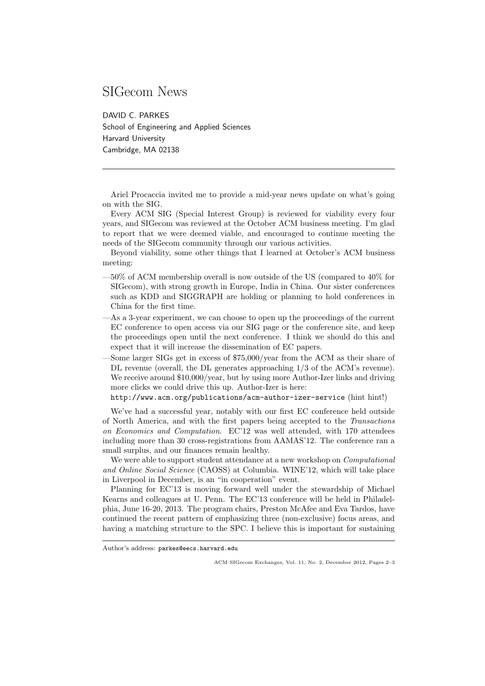## SIGecom News

DAVID C. PARKES School of Engineering and Applied Sciences Harvard University Cambridge, MA 02138

Ariel Procaccia invited me to provide a mid-year news update on what's going on with the SIG.

Every ACM SIG (Special Interest Group) is reviewed for viability every four years, and SIGecom was reviewed at the October ACM business meeting. I'm glad to report that we were deemed viable, and encouraged to continue meeting the needs of the SIGecom community through our various activities.

Beyond viability, some other things that I learned at October's ACM business meeting:

- —50% of ACM membership overall is now outside of the US (compared to 40% for SIGecom), with strong growth in Europe, India in China. Our sister conferences such as KDD and SIGGRAPH are holding or planning to hold conferences in China for the first time.
- —As a 3-year experiment, we can choose to open up the proceedings of the current EC conference to open access via our SIG page or the conference site, and keep the proceedings open until the next conference. I think we should do this and expect that it will increase the dissemination of EC papers.
- —Some larger SIGs get in excess of \$75,000/year from the ACM as their share of DL revenue (overall, the DL generates approaching 1/3 of the ACM's revenue). We receive around \$10,000/year, but by using more Author-Izer links and driving more clicks we could drive this up. Author-Izer is here:

http://www.acm.org/publications/acm-author-izer-service (hint hint!)

We've had a successful year, notably with our first EC conference held outside of North America, and with the first papers being accepted to the Transactions on Economics and Computation. EC'12 was well attended, with 170 attendees including more than 30 cross-registrations from AAMAS'12. The conference ran a small surplus, and our finances remain healthy.

We were able to support student attendance at a new workshop on *Computational* and Online Social Science (CAOSS) at Columbia. WINE'12, which will take place in Liverpool in December, is an "in cooperation" event.

Planning for EC'13 is moving forward well under the stewardship of Michael Kearns and colleagues at U. Penn. The EC'13 conference will be held in Philadelphia, June 16-20, 2013. The program chairs, Preston McAfee and Eva Tardos, have continued the recent pattern of emphasizing three (non-exclusive) focus areas, and having a matching structure to the SPC. I believe this is important for sustaining

Author's address: parkes@eecs.harvard.edu

ACM SIGecom Exchanges, Vol. 11, No. 2, December 2012, Pages 2–3